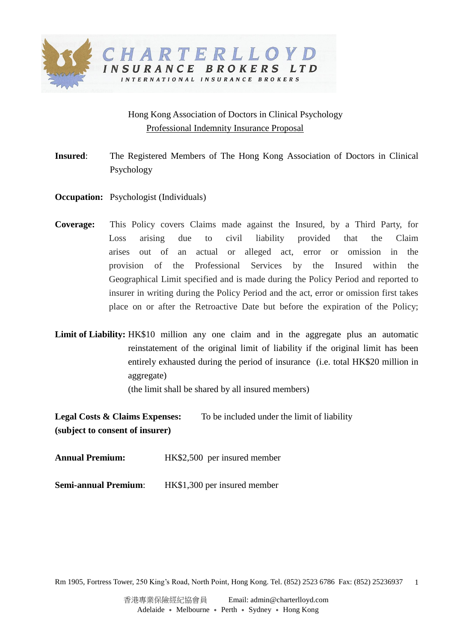

## Hong Kong Association of Doctors in Clinical Psychology Professional Indemnity Insurance Proposal

- **Insured**: The Registered Members of The Hong Kong Association of Doctors in Clinical Psychology
- **Occupation:** Psychologist (Individuals)
- **Coverage:** This Policy covers Claims made against the Insured, by a Third Party, for Loss arising due to civil liability provided that the Claim arises out of an actual or alleged act, error or omission in the provision of the Professional Services by the Insured within the Geographical Limit specified and is made during the Policy Period and reported to insurer in writing during the Policy Period and the act, error or omission first takes place on or after the Retroactive Date but before the expiration of the Policy;
- Limit of Liability: HK\$10 million any one claim and in the aggregate plus an automatic reinstatement of the original limit of liability if the original limit has been entirely exhausted during the period of insurance (i.e. total HK\$20 million in aggregate)

(the limit shall be shared by all insured members)

**Legal Costs & Claims Expenses:** To be included under the limit of liability **(subject to consent of insurer)**

| <b>Annual Premium:</b> |  | HK\$2,500 per insured member |  |
|------------------------|--|------------------------------|--|
|------------------------|--|------------------------------|--|

**Semi-annual Premium:** HK\$1,300 per insured member

Rm 1905, Fortress Tower, 250 King's Road, North Point, Hong Kong. Tel. (852) 2523 6786 Fax: (852) 25236937 1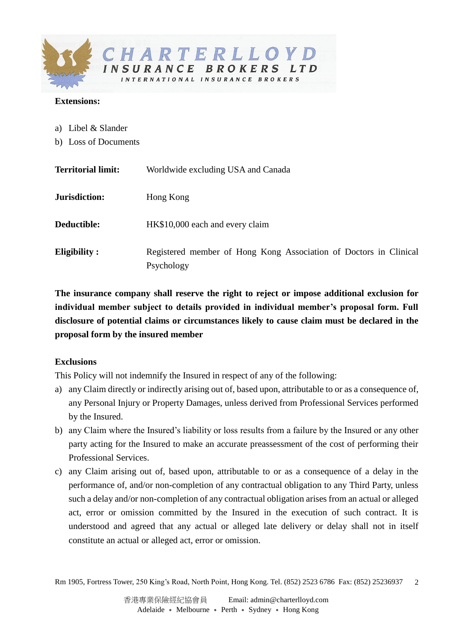

## **Extensions:**

- a) Libel & Slander
- b) Loss of Documents

| <b>Territorial limit:</b> | Worldwide excluding USA and Canada                                              |
|---------------------------|---------------------------------------------------------------------------------|
| Jurisdiction:             | Hong Kong                                                                       |
| Deductible:               | HK\$10,000 each and every claim                                                 |
| <b>Eligibility:</b>       | Registered member of Hong Kong Association of Doctors in Clinical<br>Psychology |

**The insurance company shall reserve the right to reject or impose additional exclusion for individual member subject to details provided in individual member's proposal form. Full disclosure of potential claims or circumstances likely to cause claim must be declared in the proposal form by the insured member**

## **Exclusions**

This Policy will not indemnify the Insured in respect of any of the following:

- a) any Claim directly or indirectly arising out of, based upon, attributable to or as a consequence of, any Personal Injury or Property Damages, unless derived from Professional Services performed by the Insured.
- b) any Claim where the Insured's liability or loss results from a failure by the Insured or any other party acting for the Insured to make an accurate preassessment of the cost of performing their Professional Services.
- c) any Claim arising out of, based upon, attributable to or as a consequence of a delay in the performance of, and/or non-completion of any contractual obligation to any Third Party, unless such a delay and/or non-completion of any contractual obligation arises from an actual or alleged act, error or omission committed by the Insured in the execution of such contract. It is understood and agreed that any actual or alleged late delivery or delay shall not in itself constitute an actual or alleged act, error or omission.

Rm 1905, Fortress Tower, 250 King's Road, North Point, Hong Kong. Tel. (852) 2523 6786 Fax: (852) 25236937  $\mathcal{D}$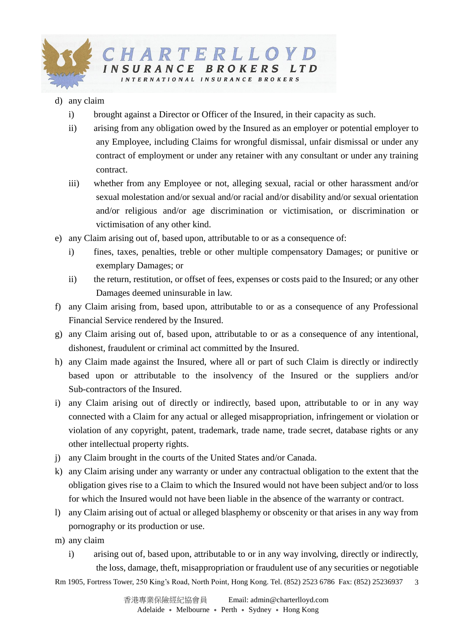

## d) any claim

- i) brought against a Director or Officer of the Insured, in their capacity as such.
- ii) arising from any obligation owed by the Insured as an employer or potential employer to any Employee, including Claims for wrongful dismissal, unfair dismissal or under any contract of employment or under any retainer with any consultant or under any training contract.
- iii) whether from any Employee or not, alleging sexual, racial or other harassment and/or sexual molestation and/or sexual and/or racial and/or disability and/or sexual orientation and/or religious and/or age discrimination or victimisation, or discrimination or victimisation of any other kind.
- e) any Claim arising out of, based upon, attributable to or as a consequence of:
	- i) fines, taxes, penalties, treble or other multiple compensatory Damages; or punitive or exemplary Damages; or
	- ii) the return, restitution, or offset of fees, expenses or costs paid to the Insured; or any other Damages deemed uninsurable in law.
- f) any Claim arising from, based upon, attributable to or as a consequence of any Professional Financial Service rendered by the Insured.
- g) any Claim arising out of, based upon, attributable to or as a consequence of any intentional, dishonest, fraudulent or criminal act committed by the Insured.
- h) any Claim made against the Insured, where all or part of such Claim is directly or indirectly based upon or attributable to the insolvency of the Insured or the suppliers and/or Sub-contractors of the Insured.
- i) any Claim arising out of directly or indirectly, based upon, attributable to or in any way connected with a Claim for any actual or alleged misappropriation, infringement or violation or violation of any copyright, patent, trademark, trade name, trade secret, database rights or any other intellectual property rights.
- j) any Claim brought in the courts of the United States and/or Canada.
- k) any Claim arising under any warranty or under any contractual obligation to the extent that the obligation gives rise to a Claim to which the Insured would not have been subject and/or to loss for which the Insured would not have been liable in the absence of the warranty or contract.
- l) any Claim arising out of actual or alleged blasphemy or obscenity or that arises in any way from pornography or its production or use.
- m) any claim
	- i) arising out of, based upon, attributable to or in any way involving, directly or indirectly, the loss, damage, theft, misappropriation or fraudulent use of any securities or negotiable

Rm 1905, Fortress Tower, 250 King's Road, North Point, Hong Kong. Tel. (852) 2523 6786 Fax: (852) 25236937 3